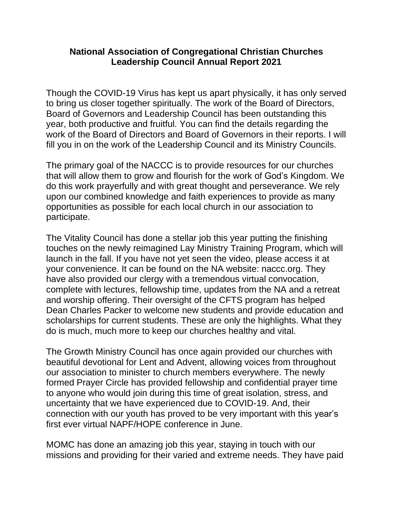## **National Association of Congregational Christian Churches Leadership Council Annual Report 2021**

Though the COVID-19 Virus has kept us apart physically, it has only served to bring us closer together spiritually. The work of the Board of Directors, Board of Governors and Leadership Council has been outstanding this year, both productive and fruitful. You can find the details regarding the work of the Board of Directors and Board of Governors in their reports. I will fill you in on the work of the Leadership Council and its Ministry Councils.

The primary goal of the NACCC is to provide resources for our churches that will allow them to grow and flourish for the work of God's Kingdom. We do this work prayerfully and with great thought and perseverance. We rely upon our combined knowledge and faith experiences to provide as many opportunities as possible for each local church in our association to participate.

The Vitality Council has done a stellar job this year putting the finishing touches on the newly reimagined Lay Ministry Training Program, which will launch in the fall. If you have not yet seen the video, please access it at your convenience. It can be found on the NA website: naccc.org. They have also provided our clergy with a tremendous virtual convocation, complete with lectures, fellowship time, updates from the NA and a retreat and worship offering. Their oversight of the CFTS program has helped Dean Charles Packer to welcome new students and provide education and scholarships for current students. These are only the highlights. What they do is much, much more to keep our churches healthy and vital.

The Growth Ministry Council has once again provided our churches with beautiful devotional for Lent and Advent, allowing voices from throughout our association to minister to church members everywhere. The newly formed Prayer Circle has provided fellowship and confidential prayer time to anyone who would join during this time of great isolation, stress, and uncertainty that we have experienced due to COVID-19. And, their connection with our youth has proved to be very important with this year's first ever virtual NAPF/HOPE conference in June.

MOMC has done an amazing job this year, staying in touch with our missions and providing for their varied and extreme needs. They have paid